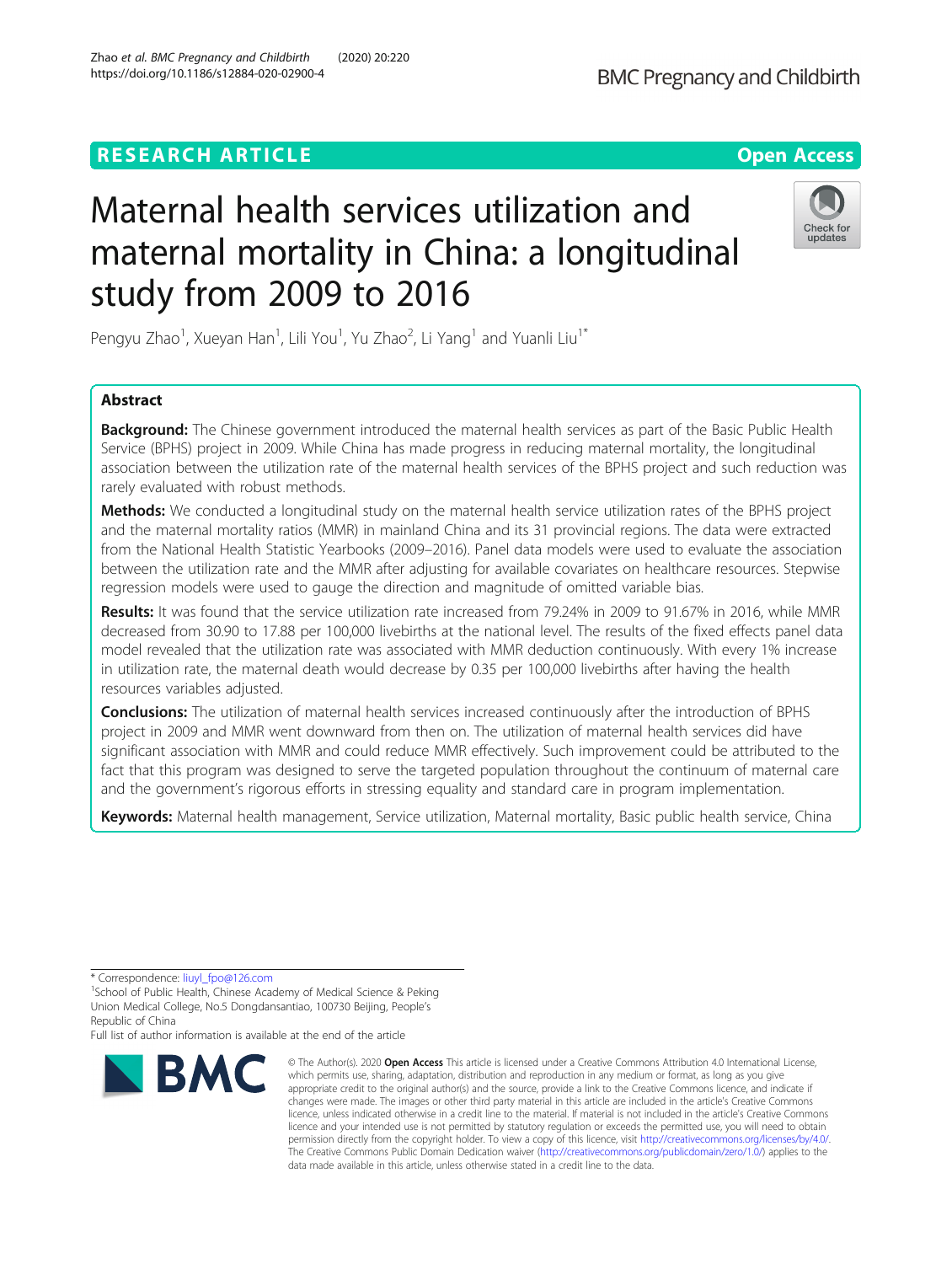## **RESEARCH ARTICLE Example 2014 12:30 The Contract of Contract ACCESS**

# Maternal health services utilization and maternal mortality in China: a longitudinal study from 2009 to 2016

Pengyu Zhao<sup>1</sup>, Xueyan Han<sup>1</sup>, Lili You<sup>1</sup>, Yu Zhao<sup>2</sup>, Li Yang<sup>1</sup> and Yuanli Liu<sup>1\*</sup>

## Abstract

**Background:** The Chinese government introduced the maternal health services as part of the Basic Public Health Service (BPHS) project in 2009. While China has made progress in reducing maternal mortality, the longitudinal association between the utilization rate of the maternal health services of the BPHS project and such reduction was rarely evaluated with robust methods.

Methods: We conducted a longitudinal study on the maternal health service utilization rates of the BPHS project and the maternal mortality ratios (MMR) in mainland China and its 31 provincial regions. The data were extracted from the National Health Statistic Yearbooks (2009–2016). Panel data models were used to evaluate the association between the utilization rate and the MMR after adjusting for available covariates on healthcare resources. Stepwise regression models were used to gauge the direction and magnitude of omitted variable bias.

Results: It was found that the service utilization rate increased from 79.24% in 2009 to 91.67% in 2016, while MMR decreased from 30.90 to 17.88 per 100,000 livebirths at the national level. The results of the fixed effects panel data model revealed that the utilization rate was associated with MMR deduction continuously. With every 1% increase in utilization rate, the maternal death would decrease by 0.35 per 100,000 livebirths after having the health resources variables adjusted.

**Conclusions:** The utilization of maternal health services increased continuously after the introduction of BPHS project in 2009 and MMR went downward from then on. The utilization of maternal health services did have significant association with MMR and could reduce MMR effectively. Such improvement could be attributed to the fact that this program was designed to serve the targeted population throughout the continuum of maternal care and the government's rigorous efforts in stressing equality and standard care in program implementation.

Keywords: Maternal health management, Service utilization, Maternal mortality, Basic public health service, China

\* Correspondence: [liuyl\\_fpo@126.com](mailto:liuyl_fpo@126.com) <sup>1</sup>

**BMC** 

<sup>1</sup>School of Public Health, Chinese Academy of Medical Science & Peking Union Medical College, No.5 Dongdansantiao, 100730 Beijing, People's Republic of China

Full list of author information is available at the end of the article



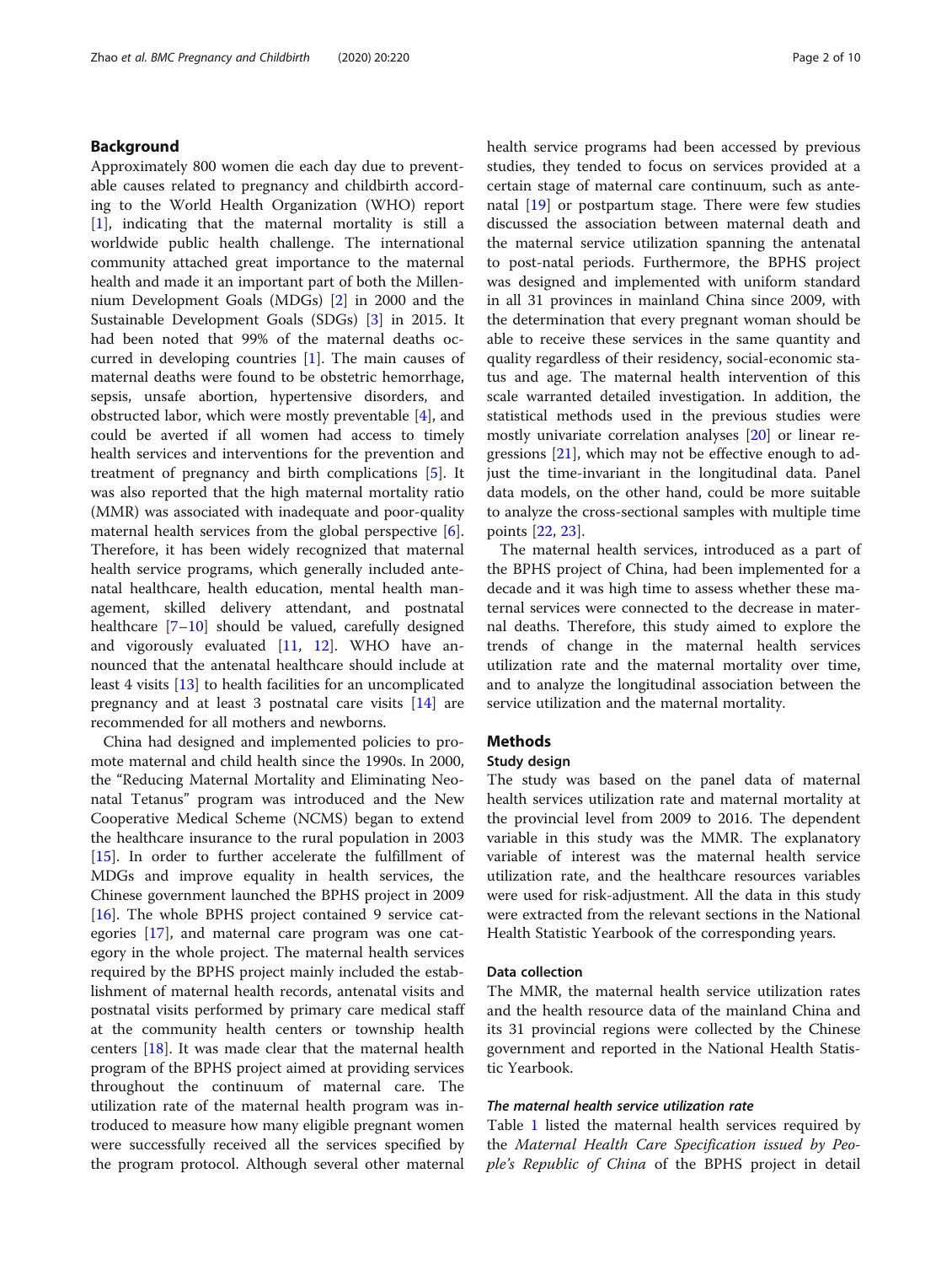## Background

Approximately 800 women die each day due to preventable causes related to pregnancy and childbirth according to the World Health Organization (WHO) report [[1\]](#page-8-0), indicating that the maternal mortality is still a worldwide public health challenge. The international community attached great importance to the maternal health and made it an important part of both the Millennium Development Goals (MDGs) [[2\]](#page-8-0) in 2000 and the Sustainable Development Goals (SDGs) [\[3\]](#page-8-0) in 2015. It had been noted that 99% of the maternal deaths occurred in developing countries [[1\]](#page-8-0). The main causes of maternal deaths were found to be obstetric hemorrhage, sepsis, unsafe abortion, hypertensive disorders, and obstructed labor, which were mostly preventable [\[4](#page-8-0)], and could be averted if all women had access to timely health services and interventions for the prevention and treatment of pregnancy and birth complications [\[5](#page-8-0)]. It was also reported that the high maternal mortality ratio (MMR) was associated with inadequate and poor-quality maternal health services from the global perspective [\[6](#page-8-0)]. Therefore, it has been widely recognized that maternal health service programs, which generally included antenatal healthcare, health education, mental health management, skilled delivery attendant, and postnatal healthcare [[7](#page-8-0)–[10](#page-8-0)] should be valued, carefully designed and vigorously evaluated [[11,](#page-8-0) [12](#page-8-0)]. WHO have announced that the antenatal healthcare should include at least 4 visits [[13\]](#page-8-0) to health facilities for an uncomplicated pregnancy and at least 3 postnatal care visits [\[14](#page-8-0)] are recommended for all mothers and newborns.

China had designed and implemented policies to promote maternal and child health since the 1990s. In 2000, the "Reducing Maternal Mortality and Eliminating Neonatal Tetanus" program was introduced and the New Cooperative Medical Scheme (NCMS) began to extend the healthcare insurance to the rural population in 2003 [[15\]](#page-8-0). In order to further accelerate the fulfillment of MDGs and improve equality in health services, the Chinese government launched the BPHS project in 2009 [[16\]](#page-8-0). The whole BPHS project contained 9 service categories [\[17](#page-8-0)], and maternal care program was one category in the whole project. The maternal health services required by the BPHS project mainly included the establishment of maternal health records, antenatal visits and postnatal visits performed by primary care medical staff at the community health centers or township health centers [[18\]](#page-8-0). It was made clear that the maternal health program of the BPHS project aimed at providing services throughout the continuum of maternal care. The utilization rate of the maternal health program was introduced to measure how many eligible pregnant women were successfully received all the services specified by the program protocol. Although several other maternal health service programs had been accessed by previous studies, they tended to focus on services provided at a certain stage of maternal care continuum, such as antenatal [[19\]](#page-8-0) or postpartum stage. There were few studies discussed the association between maternal death and the maternal service utilization spanning the antenatal to post-natal periods. Furthermore, the BPHS project was designed and implemented with uniform standard in all 31 provinces in mainland China since 2009, with the determination that every pregnant woman should be able to receive these services in the same quantity and quality regardless of their residency, social-economic status and age. The maternal health intervention of this scale warranted detailed investigation. In addition, the statistical methods used in the previous studies were mostly univariate correlation analyses [[20\]](#page-8-0) or linear regressions [\[21](#page-8-0)], which may not be effective enough to adjust the time-invariant in the longitudinal data. Panel data models, on the other hand, could be more suitable to analyze the cross-sectional samples with multiple time points [\[22,](#page-8-0) [23\]](#page-8-0).

The maternal health services, introduced as a part of the BPHS project of China, had been implemented for a decade and it was high time to assess whether these maternal services were connected to the decrease in maternal deaths. Therefore, this study aimed to explore the trends of change in the maternal health services utilization rate and the maternal mortality over time, and to analyze the longitudinal association between the service utilization and the maternal mortality.

## Methods

## Study design

The study was based on the panel data of maternal health services utilization rate and maternal mortality at the provincial level from 2009 to 2016. The dependent variable in this study was the MMR. The explanatory variable of interest was the maternal health service utilization rate, and the healthcare resources variables were used for risk-adjustment. All the data in this study were extracted from the relevant sections in the National Health Statistic Yearbook of the corresponding years.

#### Data collection

The MMR, the maternal health service utilization rates and the health resource data of the mainland China and its 31 provincial regions were collected by the Chinese government and reported in the National Health Statistic Yearbook.

### The maternal health service utilization rate

Table [1](#page-2-0) listed the maternal health services required by the Maternal Health Care Specification issued by People's Republic of China of the BPHS project in detail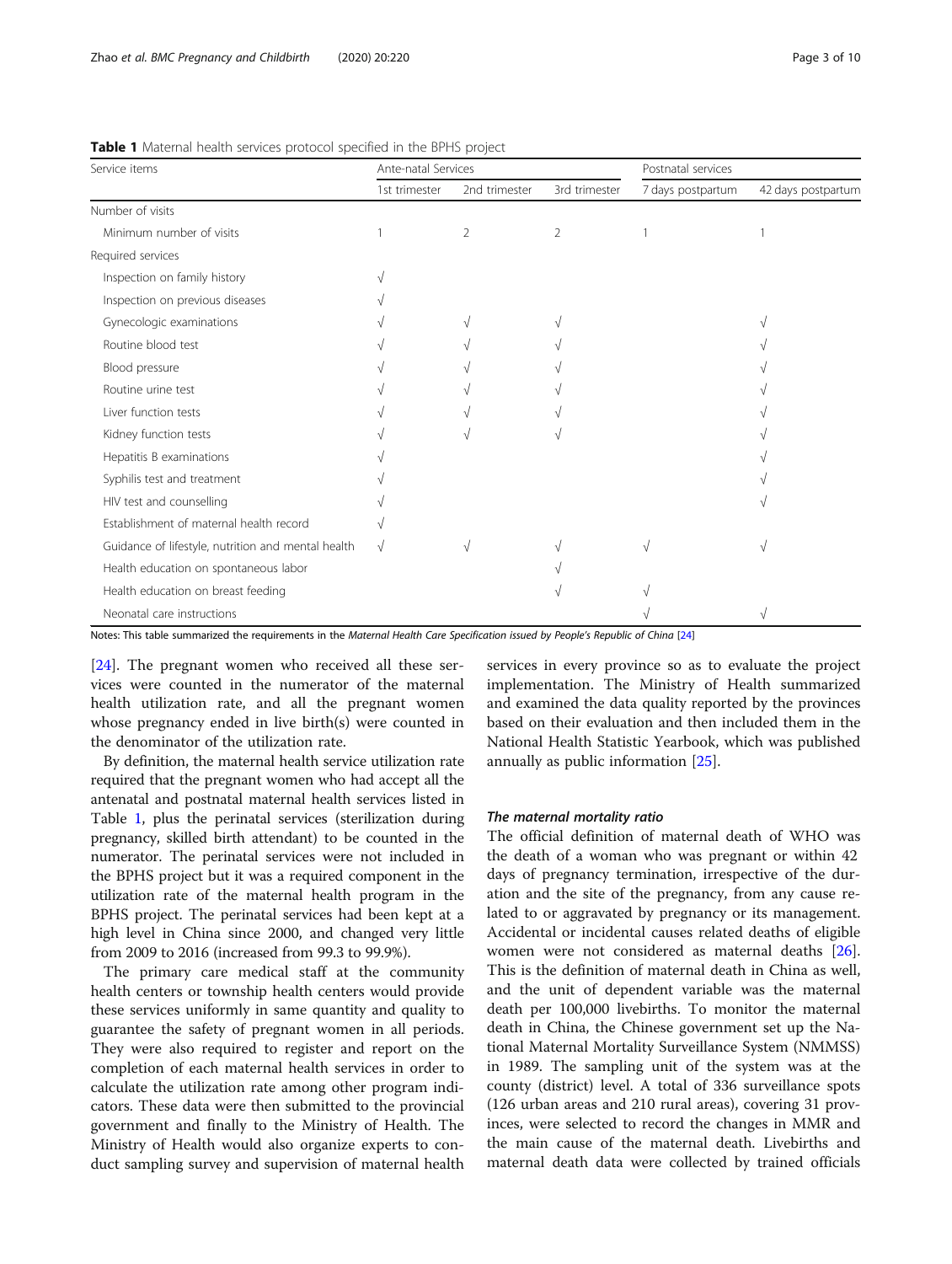| Service items                                      | Ante-natal Services |               |                | Postnatal services |                    |  |
|----------------------------------------------------|---------------------|---------------|----------------|--------------------|--------------------|--|
|                                                    | 1st trimester       | 2nd trimester | 3rd trimester  | 7 days postpartum  | 42 days postpartum |  |
| Number of visits                                   |                     |               |                |                    |                    |  |
| Minimum number of visits                           |                     | 2             | $\overline{2}$ |                    |                    |  |
| Required services                                  |                     |               |                |                    |                    |  |
| Inspection on family history                       |                     |               |                |                    |                    |  |
| Inspection on previous diseases                    |                     |               |                |                    |                    |  |
| Gynecologic examinations                           |                     |               |                |                    |                    |  |
| Routine blood test                                 |                     |               |                |                    |                    |  |
| Blood pressure                                     |                     |               |                |                    |                    |  |
| Routine urine test                                 |                     |               |                |                    |                    |  |
| Liver function tests                               |                     |               |                |                    |                    |  |
| Kidney function tests                              |                     |               |                |                    |                    |  |
| Hepatitis B examinations                           |                     |               |                |                    |                    |  |
| Syphilis test and treatment                        |                     |               |                |                    |                    |  |
| HIV test and counselling                           |                     |               |                |                    |                    |  |
| Establishment of maternal health record            |                     |               |                |                    |                    |  |
| Guidance of lifestyle, nutrition and mental health | $\sqrt{}$           |               |                |                    |                    |  |
| Health education on spontaneous labor              |                     |               |                |                    |                    |  |
| Health education on breast feeding                 |                     |               |                |                    |                    |  |
| Neonatal care instructions                         |                     |               |                |                    |                    |  |

<span id="page-2-0"></span>Table 1 Maternal health services protocol specified in the BPHS project

Notes: This table summarized the requirements in the Maternal Health Care Specification issued by People's Republic of China [[24\]](#page-8-0)

[[24\]](#page-8-0). The pregnant women who received all these services were counted in the numerator of the maternal health utilization rate, and all the pregnant women whose pregnancy ended in live birth(s) were counted in the denominator of the utilization rate.

By definition, the maternal health service utilization rate required that the pregnant women who had accept all the antenatal and postnatal maternal health services listed in Table 1, plus the perinatal services (sterilization during pregnancy, skilled birth attendant) to be counted in the numerator. The perinatal services were not included in the BPHS project but it was a required component in the utilization rate of the maternal health program in the BPHS project. The perinatal services had been kept at a high level in China since 2000, and changed very little from 2009 to 2016 (increased from 99.3 to 99.9%).

The primary care medical staff at the community health centers or township health centers would provide these services uniformly in same quantity and quality to guarantee the safety of pregnant women in all periods. They were also required to register and report on the completion of each maternal health services in order to calculate the utilization rate among other program indicators. These data were then submitted to the provincial government and finally to the Ministry of Health. The Ministry of Health would also organize experts to conduct sampling survey and supervision of maternal health

services in every province so as to evaluate the project implementation. The Ministry of Health summarized and examined the data quality reported by the provinces based on their evaluation and then included them in the National Health Statistic Yearbook, which was published annually as public information [[25\]](#page-8-0).

## The maternal mortality ratio

The official definition of maternal death of WHO was the death of a woman who was pregnant or within 42 days of pregnancy termination, irrespective of the duration and the site of the pregnancy, from any cause related to or aggravated by pregnancy or its management. Accidental or incidental causes related deaths of eligible women were not considered as maternal deaths [\[26](#page-8-0)]. This is the definition of maternal death in China as well, and the unit of dependent variable was the maternal death per 100,000 livebirths. To monitor the maternal death in China, the Chinese government set up the National Maternal Mortality Surveillance System (NMMSS) in 1989. The sampling unit of the system was at the county (district) level. A total of 336 surveillance spots (126 urban areas and 210 rural areas), covering 31 provinces, were selected to record the changes in MMR and the main cause of the maternal death. Livebirths and maternal death data were collected by trained officials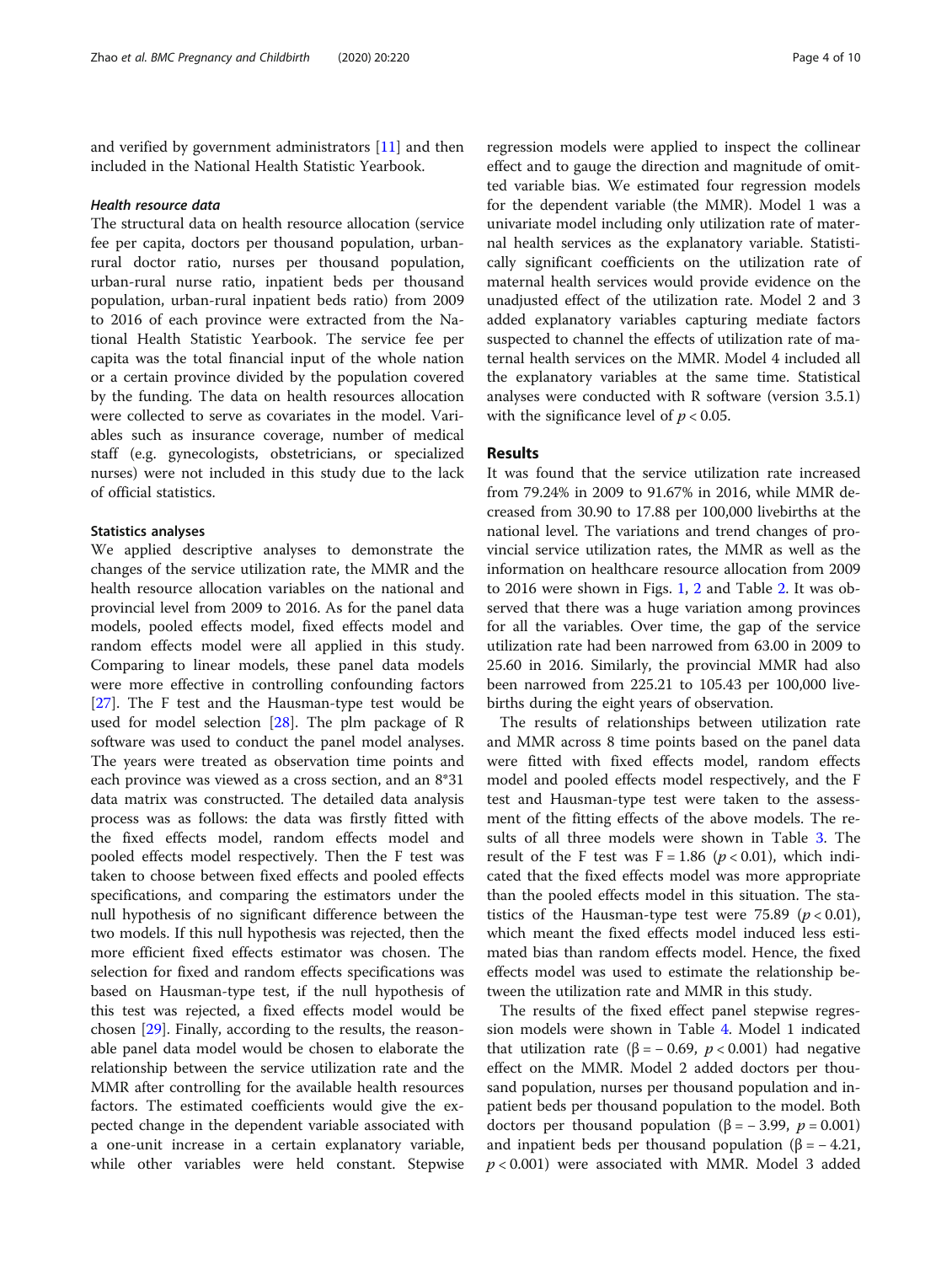and verified by government administrators [\[11\]](#page-8-0) and then included in the National Health Statistic Yearbook.

#### Health resource data

The structural data on health resource allocation (service fee per capita, doctors per thousand population, urbanrural doctor ratio, nurses per thousand population, urban-rural nurse ratio, inpatient beds per thousand population, urban-rural inpatient beds ratio) from 2009 to 2016 of each province were extracted from the National Health Statistic Yearbook. The service fee per capita was the total financial input of the whole nation or a certain province divided by the population covered by the funding. The data on health resources allocation were collected to serve as covariates in the model. Variables such as insurance coverage, number of medical staff (e.g. gynecologists, obstetricians, or specialized nurses) were not included in this study due to the lack of official statistics.

## Statistics analyses

We applied descriptive analyses to demonstrate the changes of the service utilization rate, the MMR and the health resource allocation variables on the national and provincial level from 2009 to 2016. As for the panel data models, pooled effects model, fixed effects model and random effects model were all applied in this study. Comparing to linear models, these panel data models were more effective in controlling confounding factors [[27\]](#page-8-0). The F test and the Hausman-type test would be used for model selection [[28](#page-9-0)]. The plm package of R software was used to conduct the panel model analyses. The years were treated as observation time points and each province was viewed as a cross section, and an 8\*31 data matrix was constructed. The detailed data analysis process was as follows: the data was firstly fitted with the fixed effects model, random effects model and pooled effects model respectively. Then the F test was taken to choose between fixed effects and pooled effects specifications, and comparing the estimators under the null hypothesis of no significant difference between the two models. If this null hypothesis was rejected, then the more efficient fixed effects estimator was chosen. The selection for fixed and random effects specifications was based on Hausman-type test, if the null hypothesis of this test was rejected, a fixed effects model would be chosen [\[29](#page-9-0)]. Finally, according to the results, the reasonable panel data model would be chosen to elaborate the relationship between the service utilization rate and the MMR after controlling for the available health resources factors. The estimated coefficients would give the expected change in the dependent variable associated with a one-unit increase in a certain explanatory variable, while other variables were held constant. Stepwise

regression models were applied to inspect the collinear effect and to gauge the direction and magnitude of omitted variable bias. We estimated four regression models for the dependent variable (the MMR). Model 1 was a univariate model including only utilization rate of maternal health services as the explanatory variable. Statistically significant coefficients on the utilization rate of maternal health services would provide evidence on the unadjusted effect of the utilization rate. Model 2 and 3 added explanatory variables capturing mediate factors suspected to channel the effects of utilization rate of maternal health services on the MMR. Model 4 included all the explanatory variables at the same time. Statistical analyses were conducted with R software (version 3.5.1) with the significance level of  $p < 0.05$ .

## Results

It was found that the service utilization rate increased from 79.24% in 2009 to 91.67% in 2016, while MMR decreased from 30.90 to 17.88 per 100,000 livebirths at the national level. The variations and trend changes of provincial service utilization rates, the MMR as well as the information on healthcare resource allocation from 2009 to 2016 were shown in Figs. [1,](#page-4-0) [2](#page-5-0) and Table [2.](#page-6-0) It was observed that there was a huge variation among provinces for all the variables. Over time, the gap of the service utilization rate had been narrowed from 63.00 in 2009 to 25.60 in 2016. Similarly, the provincial MMR had also been narrowed from 225.21 to 105.43 per 100,000 livebirths during the eight years of observation.

The results of relationships between utilization rate and MMR across 8 time points based on the panel data were fitted with fixed effects model, random effects model and pooled effects model respectively, and the F test and Hausman-type test were taken to the assessment of the fitting effects of the above models. The results of all three models were shown in Table [3](#page-6-0). The result of the F test was  $F = 1.86$  ( $p < 0.01$ ), which indicated that the fixed effects model was more appropriate than the pooled effects model in this situation. The statistics of the Hausman-type test were 75.89 ( $p < 0.01$ ), which meant the fixed effects model induced less estimated bias than random effects model. Hence, the fixed effects model was used to estimate the relationship between the utilization rate and MMR in this study.

The results of the fixed effect panel stepwise regression models were shown in Table [4](#page-7-0). Model 1 indicated that utilization rate (β = -0.69,  $p < 0.001$ ) had negative effect on the MMR. Model 2 added doctors per thousand population, nurses per thousand population and inpatient beds per thousand population to the model. Both doctors per thousand population (β =  $-3.99$ ,  $p = 0.001$ ) and inpatient beds per thousand population (β =  $-4.21$ ,  $p < 0.001$ ) were associated with MMR. Model 3 added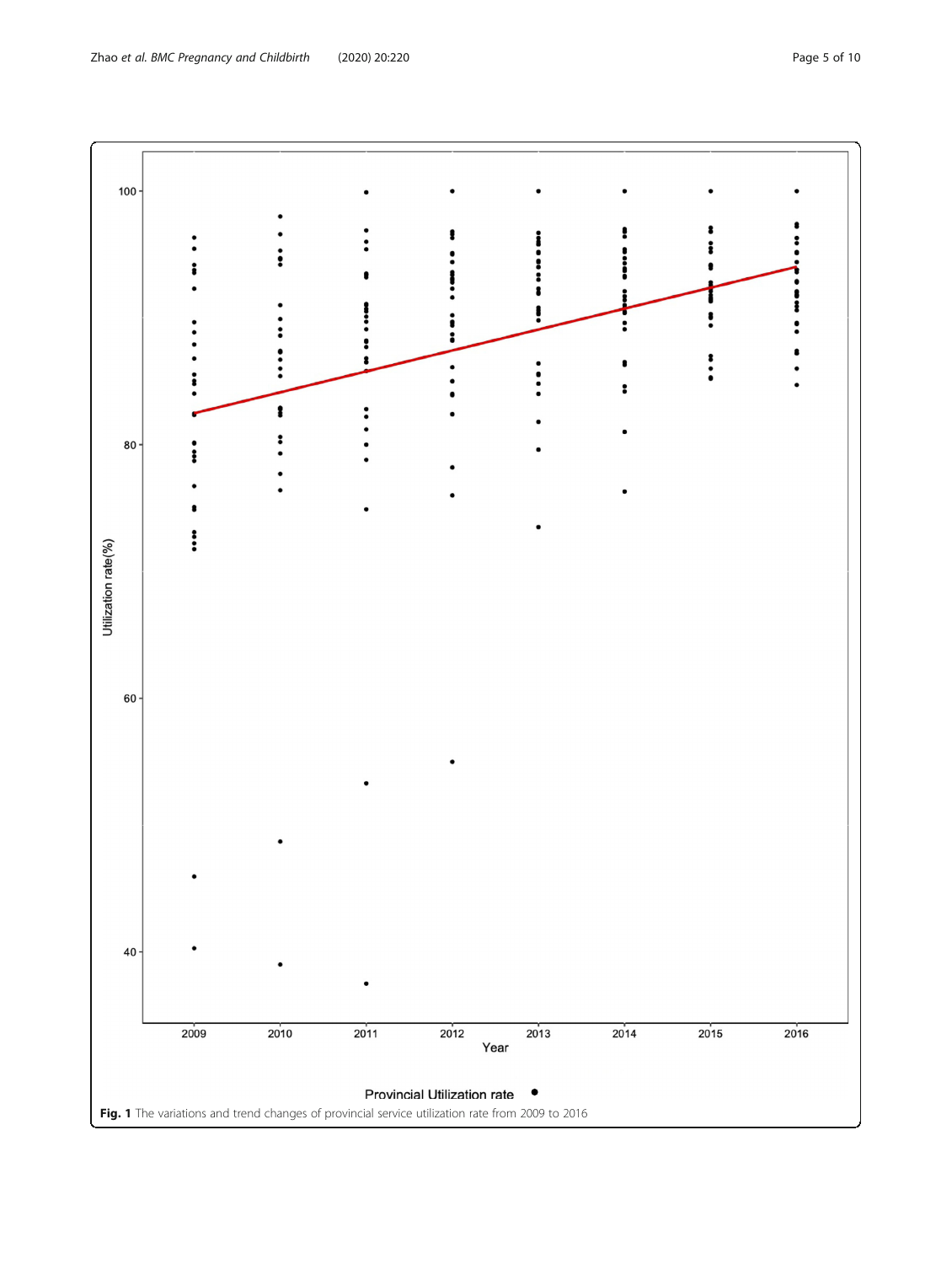<span id="page-4-0"></span>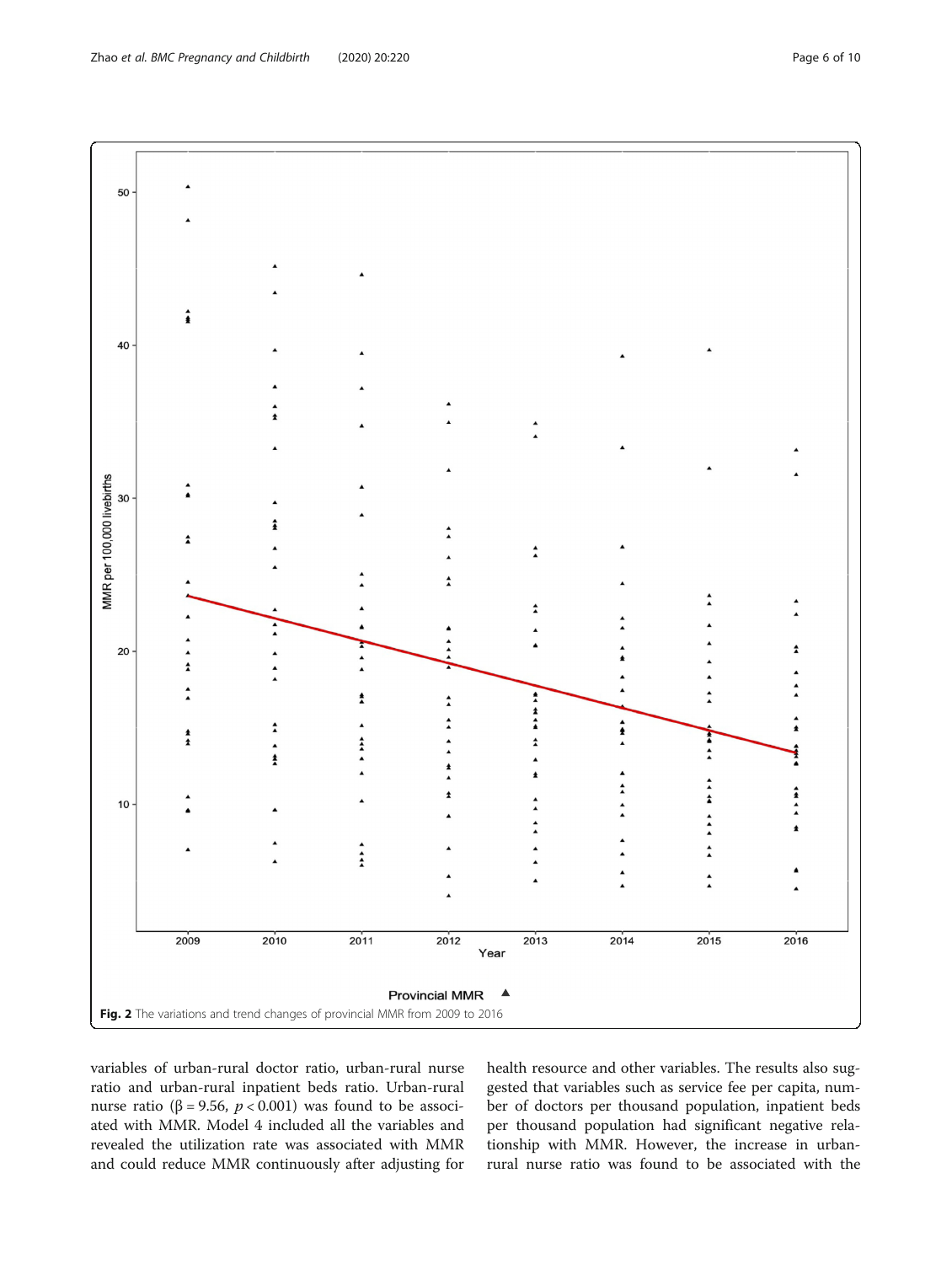<span id="page-5-0"></span>

variables of urban-rural doctor ratio, urban-rural nurse ratio and urban-rural inpatient beds ratio. Urban-rural nurse ratio (β = 9.56,  $p$  < 0.001) was found to be associated with MMR. Model 4 included all the variables and revealed the utilization rate was associated with MMR and could reduce MMR continuously after adjusting for

health resource and other variables. The results also suggested that variables such as service fee per capita, number of doctors per thousand population, inpatient beds per thousand population had significant negative relationship with MMR. However, the increase in urbanrural nurse ratio was found to be associated with the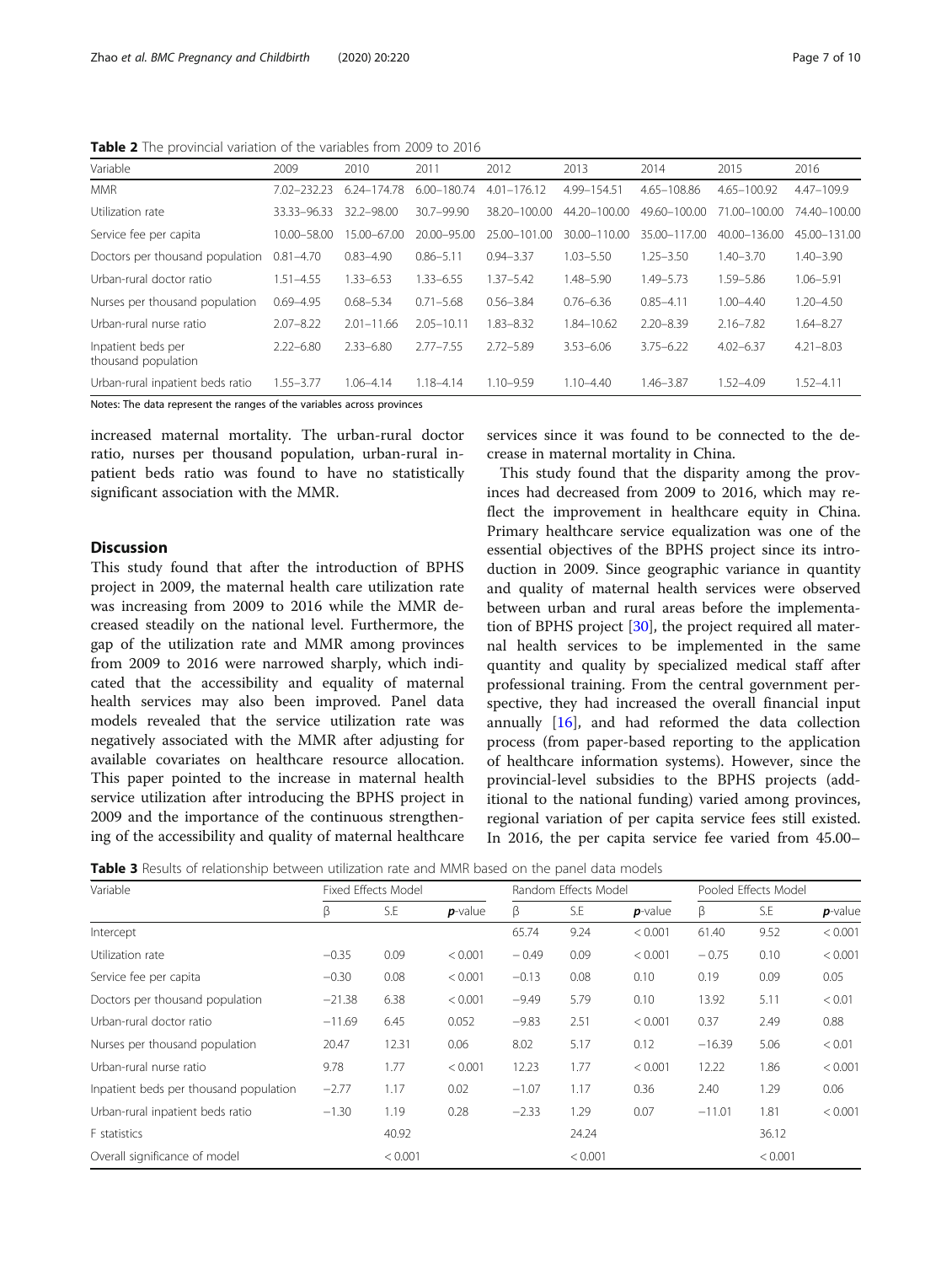<span id="page-6-0"></span>Table 2 The provincial variation of the variables from 2009 to 2016

| Variable                                  | 2009          | 2010           | 2011           | 2012                      | 2013          | 2014          | 2015            | 2016           |
|-------------------------------------------|---------------|----------------|----------------|---------------------------|---------------|---------------|-----------------|----------------|
| <b>MMR</b>                                | 7.02-232.23   | 6.24-174.78    | 6.00-180.74    | $4.01 - 176.12$           | 4.99-154.51   | 4.65-108.86   | $4.65 - 100.92$ | $4.47 - 109.9$ |
| Utilization rate                          | 33.33-96.33   | 32.2-98.00     | 30.7-99.90     | 38.20-100.00              | 44.20-100.00  | 49.60-100.00  | 71.00-100.00    | 74.40-100.00   |
| Service fee per capita                    | 10.00-58.00   | 15.00-67.00    | 20.00-95.00    | 25.00-101<br><sup>0</sup> | 30.00-110.00  | 35.00-117.00  | 40.00-136.00    | 45.00-131.00   |
| Doctors per thousand population           | $0.81 - 4.70$ | $0.83 - 4.90$  | $0.86 - 5.11$  | $0.94 - 3.37$             | $1.03 - 5.50$ | $1.25 - 3.50$ | $1.40 - 3.70$   | $1.40 - 3.90$  |
| Urban-rural doctor ratio                  | 1.51-4.55     | 1.33-6.53      | $1.33 - 6.55$  | $1.37 - 5.42$             | 1.48-5.90     | 1.49-5.73     | 1.59-5.86       | $1.06 - 5.91$  |
| Nurses per thousand population            | $0.69 - 4.95$ | $0.68 - 5.34$  | $0.71 - 5.68$  | $0.56 - 3.84$             | $0.76 - 6.36$ | $0.85 - 4.11$ | $1.00 - 4.40$   | $1.20 - 4.50$  |
| Urban-rural nurse ratio                   | $2.07 - 8.22$ | $2.01 - 11.66$ | $2.05 - 10.11$ | $1.83 - 8.32$             | 1.84-10.62    | $2.20 - 8.39$ | $2.16 - 7.82$   | $1.64 - 8.27$  |
| Inpatient beds per<br>thousand population | $2.22 - 6.80$ | $2.33 - 6.80$  | $2.77 - 7.55$  | $2.72 - 5.89$             | $3.53 - 6.06$ | $3.75 - 6.22$ | $4.02 - 6.37$   | $4.21 - 8.03$  |
| Urban-rural inpatient beds ratio          | 1.55-3.77     | $1.06 - 4.14$  | $1.18 - 4.14$  | $1.10 - 9.59$             | $1.10 - 4.40$ | 1.46-3.87     | 1.52-4.09       | $1.52 - 4.11$  |

Notes: The data represent the ranges of the variables across provinces

increased maternal mortality. The urban-rural doctor ratio, nurses per thousand population, urban-rural inpatient beds ratio was found to have no statistically significant association with the MMR.

## **Discussion**

This study found that after the introduction of BPHS project in 2009, the maternal health care utilization rate was increasing from 2009 to 2016 while the MMR decreased steadily on the national level. Furthermore, the gap of the utilization rate and MMR among provinces from 2009 to 2016 were narrowed sharply, which indicated that the accessibility and equality of maternal health services may also been improved. Panel data models revealed that the service utilization rate was negatively associated with the MMR after adjusting for available covariates on healthcare resource allocation. This paper pointed to the increase in maternal health service utilization after introducing the BPHS project in 2009 and the importance of the continuous strengthening of the accessibility and quality of maternal healthcare services since it was found to be connected to the decrease in maternal mortality in China.

This study found that the disparity among the provinces had decreased from 2009 to 2016, which may reflect the improvement in healthcare equity in China. Primary healthcare service equalization was one of the essential objectives of the BPHS project since its introduction in 2009. Since geographic variance in quantity and quality of maternal health services were observed between urban and rural areas before the implementation of BPHS project [\[30\]](#page-9-0), the project required all maternal health services to be implemented in the same quantity and quality by specialized medical staff after professional training. From the central government perspective, they had increased the overall financial input annually [[16](#page-8-0)], and had reformed the data collection process (from paper-based reporting to the application of healthcare information systems). However, since the provincial-level subsidies to the BPHS projects (additional to the national funding) varied among provinces, regional variation of per capita service fees still existed. In 2016, the per capita service fee varied from 45.00–

| Table 3 Results of relationship between utilization rate and MMR based on the panel data models |  |
|-------------------------------------------------------------------------------------------------|--|
|-------------------------------------------------------------------------------------------------|--|

| Variable                               | Fixed Effects Model |         |            | Random Effects Model |         |            | Pooled Effects Model |         |            |
|----------------------------------------|---------------------|---------|------------|----------------------|---------|------------|----------------------|---------|------------|
|                                        | β                   | S.E     | $p$ -value | β                    | S.E     | $p$ -value | β                    | S.E     | $p$ -value |
| Intercept                              |                     |         |            | 65.74                | 9.24    | < 0.001    | 61.40                | 9.52    | < 0.001    |
| Utilization rate                       | $-0.35$             | 0.09    | < 0.001    | $-0.49$              | 0.09    | < 0.001    | $-0.75$              | 0.10    | < 0.001    |
| Service fee per capita                 | $-0.30$             | 0.08    | < 0.001    | $-0.13$              | 0.08    | 0.10       | 0.19                 | 0.09    | 0.05       |
| Doctors per thousand population        | $-21.38$            | 6.38    | < 0.001    | $-9.49$              | 5.79    | 0.10       | 13.92                | 5.11    | < 0.01     |
| Urban-rural doctor ratio               | $-11.69$            | 6.45    | 0.052      | $-9.83$              | 2.51    | < 0.001    | 0.37                 | 2.49    | 0.88       |
| Nurses per thousand population         | 20.47               | 12.31   | 0.06       | 8.02                 | 5.17    | 0.12       | $-16.39$             | 5.06    | < 0.01     |
| Urban-rural nurse ratio                | 9.78                | 1.77    | < 0.001    | 12.23                | 1.77    | < 0.001    | 12.22                | 1.86    | < 0.001    |
| Inpatient beds per thousand population | $-2.77$             | 1.17    | 0.02       | $-1.07$              | 1.17    | 0.36       | 2.40                 | 1.29    | 0.06       |
| Urban-rural inpatient beds ratio       | $-1.30$             | 1.19    | 0.28       | $-2.33$              | 1.29    | 0.07       | $-11.01$             | 1.81    | < 0.001    |
| F statistics                           |                     | 40.92   |            |                      | 24.24   |            |                      | 36.12   |            |
| Overall significance of model          |                     | < 0.001 |            |                      | < 0.001 |            |                      | < 0.001 |            |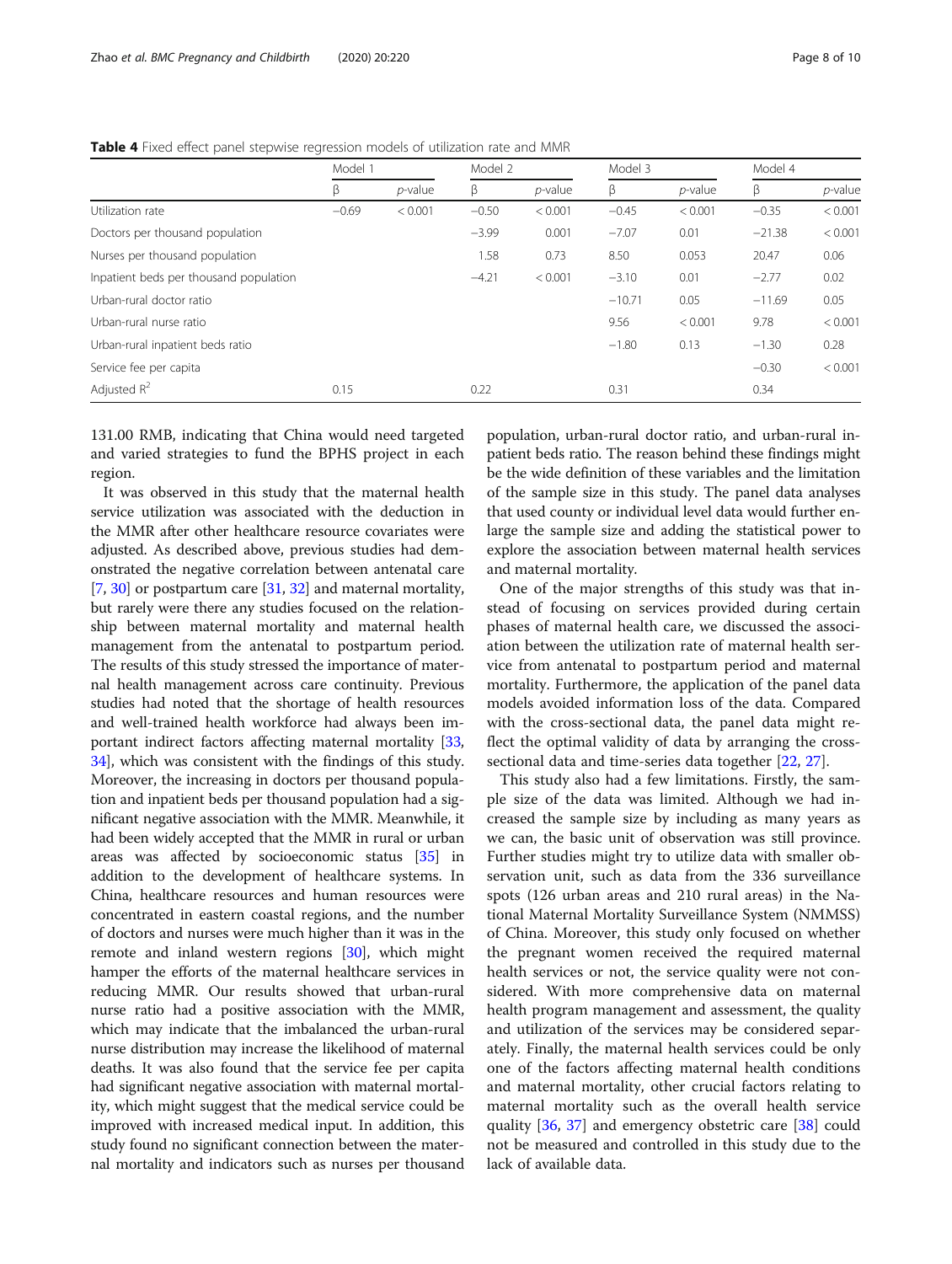<span id="page-7-0"></span>Table 4 Fixed effect panel stepwise regression models of utilization rate and MMR

|                                        | Model 1 |            |         | Model 2    |          | Model 3    |          | Model 4    |  |
|----------------------------------------|---------|------------|---------|------------|----------|------------|----------|------------|--|
|                                        | β       | $p$ -value | β       | $p$ -value | β        | $p$ -value | β        | $p$ -value |  |
| Utilization rate                       | $-0.69$ | < 0.001    | $-0.50$ | < 0.001    | $-0.45$  | < 0.001    | $-0.35$  | < 0.001    |  |
| Doctors per thousand population        |         |            | $-3.99$ | 0.001      | $-7.07$  | 0.01       | $-21.38$ | < 0.001    |  |
| Nurses per thousand population         |         |            | 1.58    | 0.73       | 8.50     | 0.053      | 20.47    | 0.06       |  |
| Inpatient beds per thousand population |         |            | $-4.21$ | < 0.001    | $-3.10$  | 0.01       | $-2.77$  | 0.02       |  |
| Urban-rural doctor ratio               |         |            |         |            | $-10.71$ | 0.05       | $-11.69$ | 0.05       |  |
| Urban-rural nurse ratio                |         |            |         |            | 9.56     | < 0.001    | 9.78     | < 0.001    |  |
| Urban-rural inpatient beds ratio       |         |            |         |            | $-1.80$  | 0.13       | $-1.30$  | 0.28       |  |
| Service fee per capita                 |         |            |         |            |          |            | $-0.30$  | < 0.001    |  |
| Adjusted $R^2$                         | 0.15    |            | 0.22    |            | 0.31     |            | 0.34     |            |  |

131.00 RMB, indicating that China would need targeted and varied strategies to fund the BPHS project in each region.

It was observed in this study that the maternal health service utilization was associated with the deduction in the MMR after other healthcare resource covariates were adjusted. As described above, previous studies had demonstrated the negative correlation between antenatal care [[7,](#page-8-0) [30\]](#page-9-0) or postpartum care [[31,](#page-9-0) [32\]](#page-9-0) and maternal mortality, but rarely were there any studies focused on the relationship between maternal mortality and maternal health management from the antenatal to postpartum period. The results of this study stressed the importance of maternal health management across care continuity. Previous studies had noted that the shortage of health resources and well-trained health workforce had always been important indirect factors affecting maternal mortality [[33](#page-9-0), [34](#page-9-0)], which was consistent with the findings of this study. Moreover, the increasing in doctors per thousand population and inpatient beds per thousand population had a significant negative association with the MMR. Meanwhile, it had been widely accepted that the MMR in rural or urban areas was affected by socioeconomic status [\[35](#page-9-0)] in addition to the development of healthcare systems. In China, healthcare resources and human resources were concentrated in eastern coastal regions, and the number of doctors and nurses were much higher than it was in the remote and inland western regions [[30](#page-9-0)], which might hamper the efforts of the maternal healthcare services in reducing MMR. Our results showed that urban-rural nurse ratio had a positive association with the MMR, which may indicate that the imbalanced the urban-rural nurse distribution may increase the likelihood of maternal deaths. It was also found that the service fee per capita had significant negative association with maternal mortality, which might suggest that the medical service could be improved with increased medical input. In addition, this study found no significant connection between the maternal mortality and indicators such as nurses per thousand

population, urban-rural doctor ratio, and urban-rural inpatient beds ratio. The reason behind these findings might be the wide definition of these variables and the limitation of the sample size in this study. The panel data analyses that used county or individual level data would further enlarge the sample size and adding the statistical power to explore the association between maternal health services and maternal mortality.

One of the major strengths of this study was that instead of focusing on services provided during certain phases of maternal health care, we discussed the association between the utilization rate of maternal health service from antenatal to postpartum period and maternal mortality. Furthermore, the application of the panel data models avoided information loss of the data. Compared with the cross-sectional data, the panel data might reflect the optimal validity of data by arranging the crosssectional data and time-series data together [\[22,](#page-8-0) [27\]](#page-8-0).

This study also had a few limitations. Firstly, the sample size of the data was limited. Although we had increased the sample size by including as many years as we can, the basic unit of observation was still province. Further studies might try to utilize data with smaller observation unit, such as data from the 336 surveillance spots (126 urban areas and 210 rural areas) in the National Maternal Mortality Surveillance System (NMMSS) of China. Moreover, this study only focused on whether the pregnant women received the required maternal health services or not, the service quality were not considered. With more comprehensive data on maternal health program management and assessment, the quality and utilization of the services may be considered separately. Finally, the maternal health services could be only one of the factors affecting maternal health conditions and maternal mortality, other crucial factors relating to maternal mortality such as the overall health service quality [\[36,](#page-9-0) [37](#page-9-0)] and emergency obstetric care [\[38](#page-9-0)] could not be measured and controlled in this study due to the lack of available data.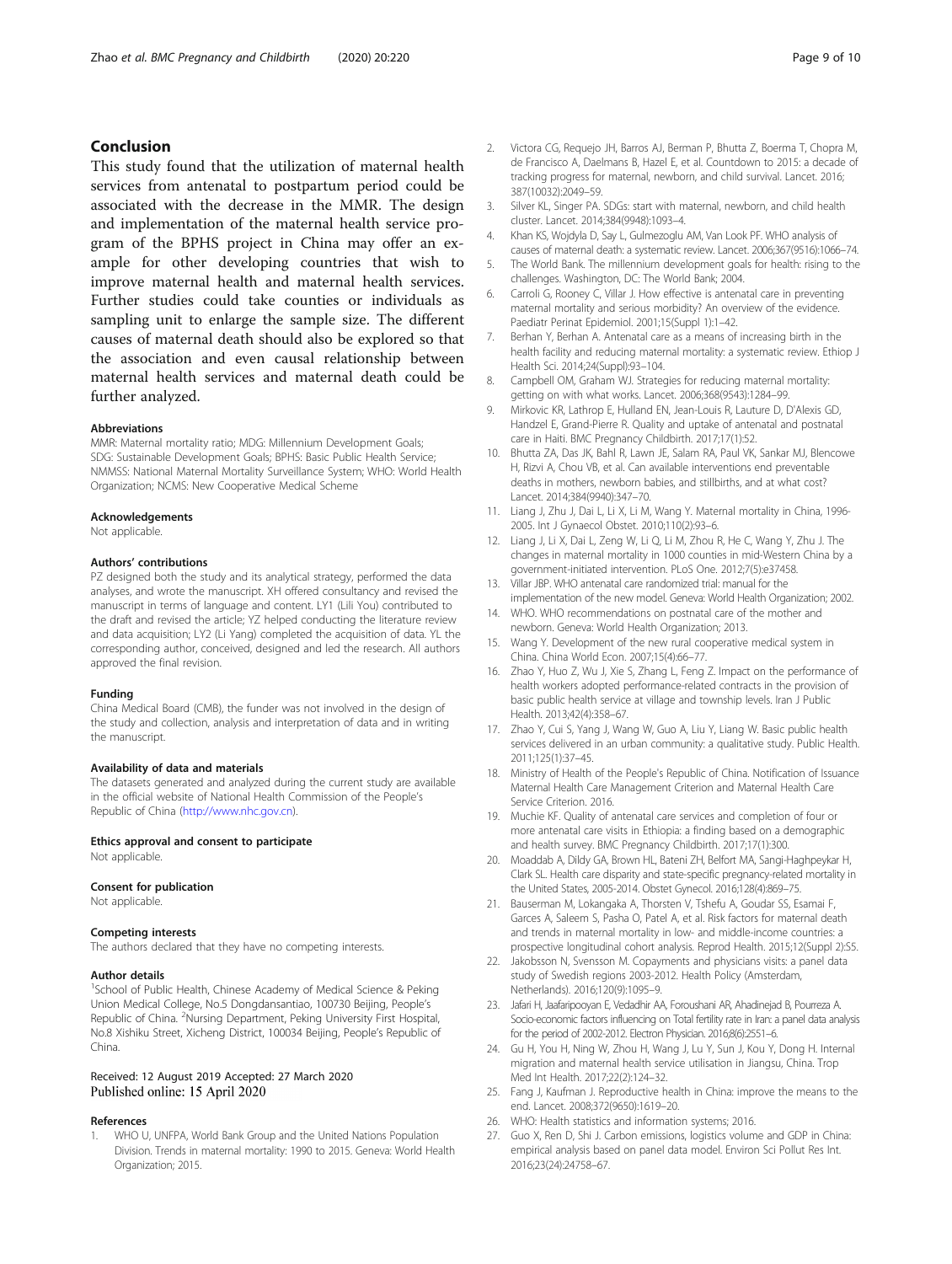## <span id="page-8-0"></span>Conclusion

This study found that the utilization of maternal health services from antenatal to postpartum period could be associated with the decrease in the MMR. The design and implementation of the maternal health service program of the BPHS project in China may offer an example for other developing countries that wish to improve maternal health and maternal health services. Further studies could take counties or individuals as sampling unit to enlarge the sample size. The different causes of maternal death should also be explored so that the association and even causal relationship between maternal health services and maternal death could be further analyzed.

#### Abbreviations

MMR: Maternal mortality ratio; MDG: Millennium Development Goals; SDG: Sustainable Development Goals; BPHS: Basic Public Health Service; NMMSS: National Maternal Mortality Surveillance System; WHO: World Health Organization; NCMS: New Cooperative Medical Scheme

#### Acknowledgements

Not applicable.

#### Authors' contributions

PZ designed both the study and its analytical strategy, performed the data analyses, and wrote the manuscript. XH offered consultancy and revised the manuscript in terms of language and content. LY1 (Lili You) contributed to the draft and revised the article; YZ helped conducting the literature review and data acquisition; LY2 (Li Yang) completed the acquisition of data. YL the corresponding author, conceived, designed and led the research. All authors approved the final revision.

#### Funding

China Medical Board (CMB), the funder was not involved in the design of the study and collection, analysis and interpretation of data and in writing the manuscript.

#### Availability of data and materials

The datasets generated and analyzed during the current study are available in the official website of National Health Commission of the People's Republic of China [\(http://www.nhc.gov.cn](http://www.nhc.gov.cn)).

#### Ethics approval and consent to participate

Not applicable.

#### Consent for publication

Not applicable.

#### Competing interests

The authors declared that they have no competing interests.

#### Author details

<sup>1</sup>School of Public Health, Chinese Academy of Medical Science & Peking Union Medical College, No.5 Dongdansantiao, 100730 Beijing, People's Republic of China. <sup>2</sup>Nursing Department, Peking University First Hospital, No.8 Xishiku Street, Xicheng District, 100034 Beijing, People's Republic of China.

#### Received: 12 August 2019 Accepted: 27 March 2020 Published online: 15 April 2020

#### References

WHO U, UNFPA, World Bank Group and the United Nations Population Division. Trends in maternal mortality: 1990 to 2015. Geneva: World Health Organization; 2015.

- 2. Victora CG, Requejo JH, Barros AJ, Berman P, Bhutta Z, Boerma T, Chopra M, de Francisco A, Daelmans B, Hazel E, et al. Countdown to 2015: a decade of tracking progress for maternal, newborn, and child survival. Lancet. 2016; 387(10032):2049–59.
- Silver KL, Singer PA. SDGs: start with maternal, newborn, and child health cluster. Lancet. 2014;384(9948):1093–4.
- 4. Khan KS, Wojdyla D, Say L, Gulmezoglu AM, Van Look PF. WHO analysis of causes of maternal death: a systematic review. Lancet. 2006;367(9516):1066–74.
- 5. The World Bank. The millennium development goals for health: rising to the challenges. Washington, DC: The World Bank; 2004.
- 6. Carroli G, Rooney C, Villar J. How effective is antenatal care in preventing maternal mortality and serious morbidity? An overview of the evidence. Paediatr Perinat Epidemiol. 2001;15(Suppl 1):1–42.
- 7. Berhan Y, Berhan A. Antenatal care as a means of increasing birth in the health facility and reducing maternal mortality: a systematic review. Ethiop J Health Sci. 2014;24(Suppl):93–104.
- 8. Campbell OM, Graham WJ. Strategies for reducing maternal mortality: getting on with what works. Lancet. 2006;368(9543):1284–99.
- 9. Mirkovic KR, Lathrop E, Hulland EN, Jean-Louis R, Lauture D, D'Alexis GD, Handzel E, Grand-Pierre R. Quality and uptake of antenatal and postnatal care in Haiti. BMC Pregnancy Childbirth. 2017;17(1):52.
- 10. Bhutta ZA, Das JK, Bahl R, Lawn JE, Salam RA, Paul VK, Sankar MJ, Blencowe H, Rizvi A, Chou VB, et al. Can available interventions end preventable deaths in mothers, newborn babies, and stillbirths, and at what cost? Lancet. 2014;384(9940):347–70.
- 11. Liang J, Zhu J, Dai L, Li X, Li M, Wang Y. Maternal mortality in China, 1996- 2005. Int J Gynaecol Obstet. 2010;110(2):93–6.
- 12. Liang J, Li X, Dai L, Zeng W, Li Q, Li M, Zhou R, He C, Wang Y, Zhu J. The changes in maternal mortality in 1000 counties in mid-Western China by a government-initiated intervention. PLoS One. 2012;7(5):e37458.
- 13. Villar JBP. WHO antenatal care randomized trial: manual for the implementation of the new model. Geneva: World Health Organization; 2002.
- 14. WHO. WHO recommendations on postnatal care of the mother and newborn. Geneva: World Health Organization; 2013.
- 15. Wang Y. Development of the new rural cooperative medical system in China. China World Econ. 2007;15(4):66–77.
- 16. Zhao Y, Huo Z, Wu J, Xie S, Zhang L, Feng Z. Impact on the performance of health workers adopted performance-related contracts in the provision of basic public health service at village and township levels. Iran J Public Health. 2013;42(4):358–67.
- 17. Zhao Y, Cui S, Yang J, Wang W, Guo A, Liu Y, Liang W. Basic public health services delivered in an urban community: a qualitative study. Public Health. 2011;125(1):37–45.
- 18. Ministry of Health of the People's Republic of China. Notification of Issuance Maternal Health Care Management Criterion and Maternal Health Care Service Criterion. 2016.
- 19. Muchie KF. Quality of antenatal care services and completion of four or more antenatal care visits in Ethiopia: a finding based on a demographic and health survey. BMC Pregnancy Childbirth. 2017;17(1):300.
- 20. Moaddab A, Dildy GA, Brown HL, Bateni ZH, Belfort MA, Sangi-Haghpeykar H, Clark SL. Health care disparity and state-specific pregnancy-related mortality in the United States, 2005-2014. Obstet Gynecol. 2016;128(4):869–75.
- 21. Bauserman M, Lokangaka A, Thorsten V, Tshefu A, Goudar SS, Esamai F, Garces A, Saleem S, Pasha O, Patel A, et al. Risk factors for maternal death and trends in maternal mortality in low- and middle-income countries: a prospective longitudinal cohort analysis. Reprod Health. 2015;12(Suppl 2):S5.
- 22. Jakobsson N, Svensson M. Copayments and physicians visits: a panel data study of Swedish regions 2003-2012. Health Policy (Amsterdam, Netherlands). 2016;120(9):1095–9.
- 23. Jafari H, Jaafaripooyan E, Vedadhir AA, Foroushani AR, Ahadinejad B, Pourreza A. Socio-economic factors influencing on Total fertility rate in Iran: a panel data analysis for the period of 2002-2012. Electron Physician. 2016;8(6):2551–6.
- 24. Gu H, You H, Ning W, Zhou H, Wang J, Lu Y, Sun J, Kou Y, Dong H. Internal migration and maternal health service utilisation in Jiangsu, China. Trop Med Int Health. 2017;22(2):124–32.
- 25. Fang J, Kaufman J. Reproductive health in China: improve the means to the end. Lancet. 2008;372(9650):1619–20.
- 26. WHO: Health statistics and information systems; 2016.
- 27. Guo X, Ren D, Shi J. Carbon emissions, logistics volume and GDP in China: empirical analysis based on panel data model. Environ Sci Pollut Res Int. 2016;23(24):24758–67.